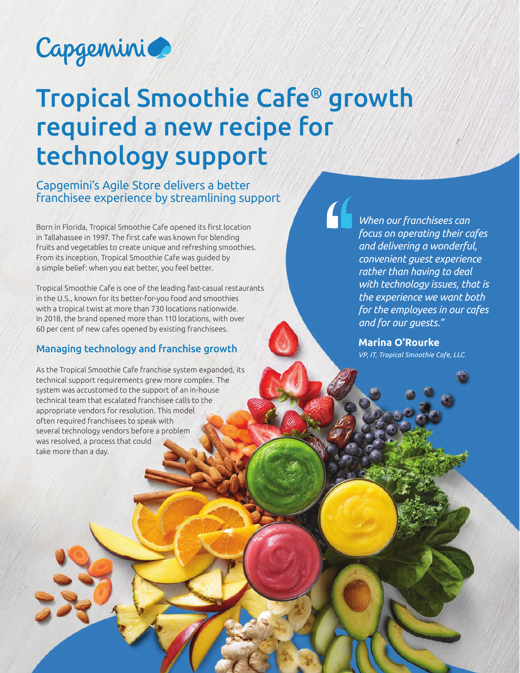

# Tropical Smoothie Cafe® growth required a new recipe for technology support

Capgemini's Agile Store delivers a better franchisee experience by streamlining support

Born in Florida, Tropical Smoothie Cafe opened its first location in Tallahassee in 1997. The first cafe was known for blending fruits and vegetables to create unique and refreshing smoothies. From its inception, Tropical Smoothie Cafe was guided by a simple belief: when you eat better, you feel better.

Tropical Smoothie Cafe is one of the leading fast-casual restaurants in the U.S., known for its better-for-you food and smoothies with a tropical twist at more than 730 locations nationwide. In 2018, the brand opened more than 110 locations, with over 60 per cent of new cafes opened by existing franchisees.

#### Managing technology and franchise growth

As the Tropical Smoothie Cafe franchise system expanded, its technical support requirements grew more complex. The system was accustomed to the support of an in-house technical team that escalated franchisee calls to the appropriate vendors for resolution. This model often required franchisees to speak with several technology vendors before a problem was resolved, a process that could take more than a day.

*When our franchisees can focus on operating their cafes and delivering a wonderful, convenient guest experience rather than having to deal with technology issues, that is the experience we want both for the employees in our cafes and for our guests."* 

**Marina O'Rourke**  *VP, IT, Tropical Smoothie Cafe, LLC.*